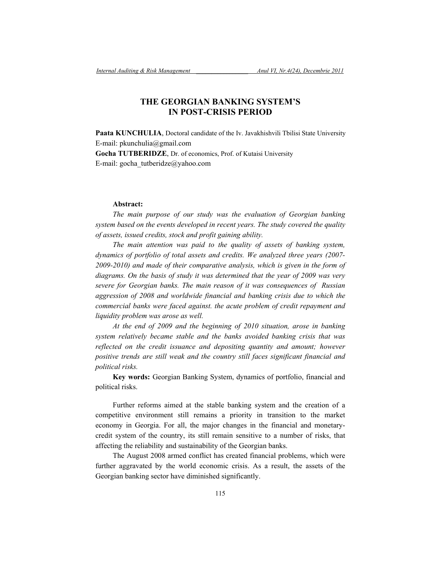# **THE GEORGIAN BANKING SYSTEM'S IN POST-CRISIS PERIOD**

Paata KUNCHULIA, Doctoral candidate of the Iv. Javakhishvili Tbilisi State University E-mail: pkunchulia@gmail.com **Gocha TUTBERIDZE**, Dr. of economics, Prof. of Kutaisi University E-mail: gocha\_tutberidze@yahoo.com

## **Abstract:**

*The main purpose of our study was the evaluation of Georgian banking system based on the events developed in recent years. The study covered the quality of assets, issued credits, stock and profit gaining ability.* 

*The main attention was paid to the quality of assets of banking system, dynamics of portfolio of total assets and credits. We analyzed three years (2007- 2009-2010) and made of their comparative analysis, which is given in the form of diagrams. On the basis of study it was determined that the year of 2009 was very severe for Georgian banks. The main reason of it was consequences of Russian*  aggression of 2008 and worldwide financial and banking crisis due to which the *commercial banks were faced against. the acute problem of credit repayment and liquidity problem was arose as well.* 

*At the end of 2009 and the beginning of 2010 situation, arose in banking system relatively became stable and the banks avoided banking crisis that was reflected on the credit issuance and depositing quantity and amount; however positive trends are still weak and the country still faces significant financial and political risks.* 

**Key words:** Georgian Banking System, dynamics of portfolio, financial and political risks.

Further reforms aimed at the stable banking system and the creation of a competitive environment still remains a priority in transition to the market economy in Georgia. For all, the major changes in the financial and monetarycredit system of the country, its still remain sensitive to a number of risks, that affecting the reliability and sustainability of the Georgian banks.

The August 2008 armed conflict has created financial problems, which were further aggravated by the world economic crisis. As a result, the assets of the Georgian banking sector have diminished significantly.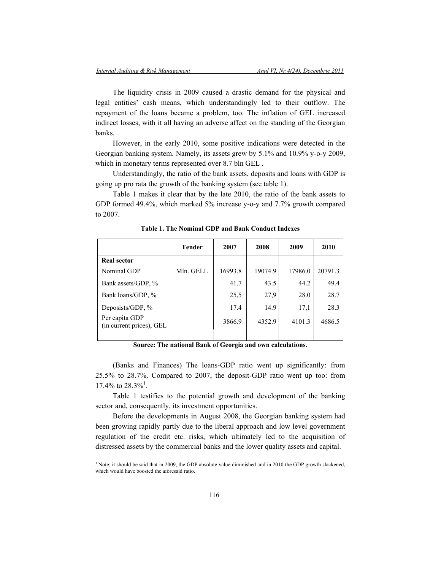The liquidity crisis in 2009 caused a drastic demand for the physical and legal entities' cash means, which understandingly led to their outflow. The repayment of the loans became a problem, too. The inflation of GEL increased indirect losses, with it all having an adverse affect on the standing of the Georgian banks.

However, in the early 2010, some positive indications were detected in the Georgian banking system. Namely, its assets grew by 5.1% and 10.9% y-o-y 2009, which in monetary terms represented over 8.7 bln GEL .

Understandingly, the ratio of the bank assets, deposits and loans with GDP is going up pro rata the growth of the banking system (see table 1).

Table 1 makes it clear that by the late 2010, the ratio of the bank assets to GDP formed 49.4%, which marked 5% increase y-o-y and 7.7% growth compared to 2007.

|                                            | <b>Tender</b> | 2007    | 2008    | 2009    | 2010    |
|--------------------------------------------|---------------|---------|---------|---------|---------|
| <b>Real sector</b>                         |               |         |         |         |         |
| Nominal GDP                                | Mln. GELL     | 16993.8 | 19074.9 | 17986.0 | 20791.3 |
| Bank assets/GDP, %                         |               | 41.7    | 43.5    | 44.2    | 49.4    |
| Bank loans/GDP, %                          |               | 25,5    | 27,9    | 28.0    | 28.7    |
| Deposists/GDP, %                           |               | 17.4    | 14.9    | 17,1    | 28.3    |
| Per capita GDP<br>(in current prices), GEL |               | 3866.9  | 4352.9  | 4101.3  | 4686.5  |
|                                            |               |         |         |         |         |

**Table 1. The Nominal GDP and Bank Conduct Indexes** 

**Source: The national Bank of Georgia and own calculations.** 

(Banks and Finances) The loans-GDP ratio went up significantly: from 25.5% to 28.7%. Compared to 2007, the deposit-GDP ratio went up too: from 17.4% to  $28.3\%$ <sup>1</sup>.

Table 1 testifies to the potential growth and development of the banking sector and, consequently, its investment opportunities.

Before the developments in August 2008, the Georgian banking system had been growing rapidly partly due to the liberal approach and low level government regulation of the credit etc. risks, which ultimately led to the acquisition of distressed assets by the commercial banks and the lower quality assets and capital.

 1 Note: it should be said that in 2009, the GDP absolute value diminished and in 2010 the GDP growth slackened, which would have boosted the aforesaid ratio.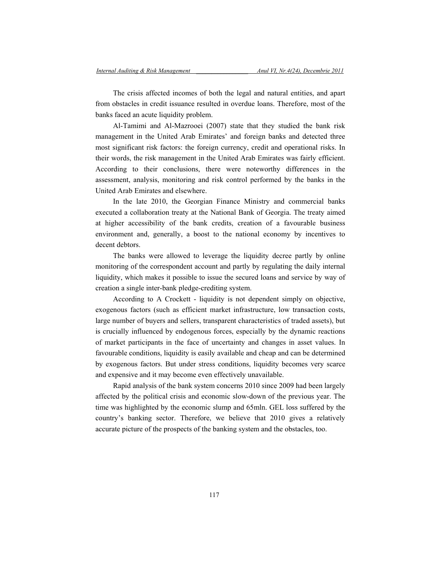The crisis affected incomes of both the legal and natural entities, and apart from obstacles in credit issuance resulted in overdue loans. Therefore, most of the banks faced an acute liquidity problem.

Al-Tamimi and Al-Mazrooei (2007) state that they studied the bank risk management in the United Arab Emirates' and foreign banks and detected three most significant risk factors: the foreign currency, credit and operational risks. In their words, the risk management in the United Arab Emirates was fairly efficient. According to their conclusions, there were noteworthy differences in the assessment, analysis, monitoring and risk control performed by the banks in the United Arab Emirates and elsewhere.

In the late 2010, the Georgian Finance Ministry and commercial banks executed a collaboration treaty at the National Bank of Georgia. The treaty aimed at higher accessibility of the bank credits, creation of a favourable business environment and, generally, a boost to the national economy by incentives to decent debtors.

The banks were allowed to leverage the liquidity decree partly by online monitoring of the correspondent account and partly by regulating the daily internal liquidity, which makes it possible to issue the secured loans and service by way of creation a single inter-bank pledge-crediting system.

According to A Crockett - liquidity is not dependent simply on objective, exogenous factors (such as efficient market infrastructure, low transaction costs, large number of buyers and sellers, transparent characteristics of traded assets), but is crucially influenced by endogenous forces, especially by the dynamic reactions of market participants in the face of uncertainty and changes in asset values. In favourable conditions, liquidity is easily available and cheap and can be determined by exogenous factors. But under stress conditions, liquidity becomes very scarce and expensive and it may become even effectively unavailable.

Rapid analysis of the bank system concerns 2010 since 2009 had been largely affected by the political crisis and economic slow-down of the previous year. The time was highlighted by the economic slump and 65mln. GEL loss suffered by the country's banking sector. Therefore, we believe that 2010 gives a relatively accurate picture of the prospects of the banking system and the obstacles, too.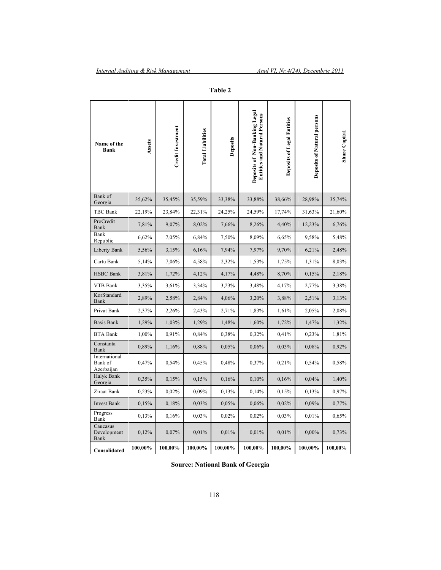| Name of the<br>Bank                    | Assets  | Credit Investment | <b>Total Liabilities</b> | Deposits | Deposits of Non-Banking Legal<br><b>Entities and Natural Persons</b> | <b>Deposits of Legal Entities</b> | <b>Deposits of Natural persons</b> | <b>Share</b> Capital |
|----------------------------------------|---------|-------------------|--------------------------|----------|----------------------------------------------------------------------|-----------------------------------|------------------------------------|----------------------|
| Bank of<br>Georgia                     | 35,62%  | 35,45%            | 35,59%                   | 33,38%   | 33,88%                                                               | 38,66%                            | 28,98%                             | 35,74%               |
| TBC Bank                               | 22,19%  | 23,84%            | 22,31%                   | 24,25%   | 24,59%                                                               | 17,74%                            | 31,63%                             | 21,60%               |
| ProCredit<br>Bank                      | 7,81%   | 9,07%             | 8,02%                    | 7,66%    | 8,26%                                                                | 4,40%                             | 12,23%                             | 6,76%                |
| Bank<br>Republic                       | 6,62%   | 7,05%             | 6,84%                    | 7,50%    | 8,09%                                                                | 6,65%                             | 9,58%                              | 5,48%                |
| Liberty Bank                           | 5,56%   | 3,15%             | 6,16%                    | 7,94%    | 7,97%                                                                | 9,70%                             | 6,21%                              | 2,48%                |
| Cartu Bank                             | 5,14%   | 7,06%             | 4,58%                    | 2,32%    | 1,53%                                                                | 1,75%                             | 1,31%                              | 8,03%                |
| <b>HSBC</b> Bank                       | 3,81%   | 1,72%             | 4,12%                    | 4,17%    | 4,48%                                                                | 8,70%                             | 0,15%                              | 2,18%                |
| VTB Bank                               | 3,35%   | 3,61%             | 3,34%                    | 3,23%    | 3,48%                                                                | 4,17%                             | 2,77%                              | 3,38%                |
| KorStandard<br>Bank                    | 2,89%   | 2,58%             | 2,84%                    | 4,06%    | 3,20%                                                                | 3,88%                             | 2,51%                              | 3,13%                |
| Privat Bank                            | 2,37%   | 2,26%             | 2,43%                    | 2,71%    | 1,83%                                                                | 1,61%                             | 2,05%                              | 2,08%                |
| <b>Basis Bank</b>                      | 1,29%   | 1,03%             | 1,29%                    | 1,48%    | 1,60%                                                                | 1,72%                             | 1,47%                              | 1,32%                |
| <b>BTA Bank</b>                        | 1,00%   | 0,91%             | 0,84%                    | 0,38%    | 0,32%                                                                | 0,41%                             | 0,23%                              | 1,81%                |
| Constanta<br>Bank                      | 0,89%   | 1,16%             | 0,88%                    | 0,05%    | 0,06%                                                                | 0,03%                             | 0,08%                              | 0,92%                |
| International<br>Bank of<br>Azerbaijan | 0,47%   | 0,54%             | 0,45%                    | 0,48%    | 0,37%                                                                | 0,21%                             | 0,54%                              | 0,58%                |
| Halyk Bank<br>Georgia                  | 0,35%   | 0,15%             | 0,15%                    | 0,16%    | 0,10%                                                                | 0,16%                             | 0,04%                              | 1,40%                |
| Ziraat Bank                            | 0,23%   | 0,02%             | 0,09%                    | 0,13%    | 0,14%                                                                | 0,15%                             | 0,13%                              | 0,97%                |
| <b>Invest Bank</b>                     | 0,15%   | 0,18%             | 0,03%                    | 0,05%    | 0,06%                                                                | 0,02%                             | 0,09%                              | 0,77%                |
| Progress<br>Bank                       | 0,13%   | 0,16%             | 0,03%                    | 0,02%    | 0,02%                                                                | 0,03%                             | 0,01%                              | 0,65%                |
| Caucasus<br>Development<br>Bank        | 0,12%   | 0,07%             | 0,01%                    | 0,01%    | 0,01%                                                                | 0,01%                             | $0,00\%$                           | 0,73%                |
| Consolidated                           | 100,00% | 100,00%           | 100,00%                  | 100,00%  | $100,00\%$                                                           | 100,00%                           | 100,00%                            | 100,00%              |

**Table 2** 

**Source: National Bank of Georgia**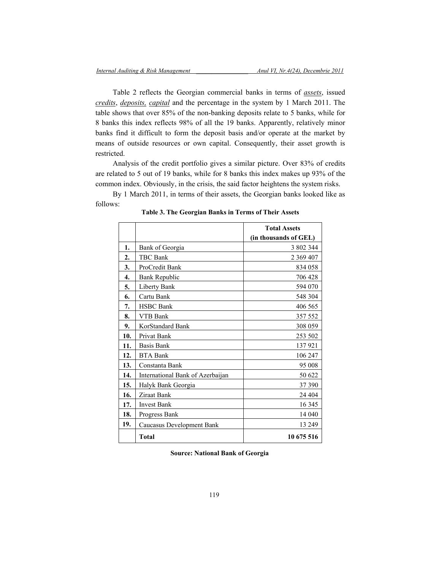Table 2 reflects the Georgian commercial banks in terms of *assets*, issued *credits*, *deposits, capital* and the percentage in the system by 1 March 2011. The table shows that over 85% of the non-banking deposits relate to 5 banks, while for 8 banks this index reflects 98% of all the 19 banks. Apparently, relatively minor banks find it difficult to form the deposit basis and/or operate at the market by means of outside resources or own capital. Consequently, their asset growth is restricted.

Analysis of the credit portfolio gives a similar picture. Over 83% of credits are related to 5 out of 19 banks, while for 8 banks this index makes up 93% of the common index. Obviously, in the crisis, the said factor heightens the system risks.

By 1 March 2011, in terms of their assets, the Georgian banks looked like as follows:

|     |                                  | <b>Total Assets</b>   |
|-----|----------------------------------|-----------------------|
|     |                                  | (in thousands of GEL) |
| 1.  | Bank of Georgia                  | 3 802 344             |
| 2.  | <b>TBC Bank</b>                  | 2 369 407             |
| 3.  | ProCredit Bank                   | 834 058               |
| 4.  | <b>Bank Republic</b>             | 706 428               |
| 5.  | Liberty Bank                     | 594 070               |
| 6.  | Cartu Bank                       | 548 304               |
| 7.  | <b>HSBC</b> Bank                 | 406 565               |
| 8.  | VTB Bank                         | 357 552               |
| 9.  | KorStandard Bank                 | 308 059               |
| 10. | Privat Bank                      | 253 502               |
| 11. | <b>Basis Bank</b>                | 137921                |
| 12. | <b>BTA Bank</b>                  | 106 247               |
| 13. | Constanta Bank                   | 95 008                |
| 14. | International Bank of Azerbaijan | 50 622                |
| 15. | Halyk Bank Georgia               | 37 390                |
| 16. | Ziraat Bank                      | 24 404                |
| 17. | <b>Invest Bank</b>               | 16 3 45               |
| 18. | Progress Bank                    | 14 040                |
| 19. | Caucasus Development Bank        | 13 249                |
|     | Total                            | 10 675 516            |

**Table 3. The Georgian Banks in Terms of Their Assets** 

**Source: National Bank of Georgia**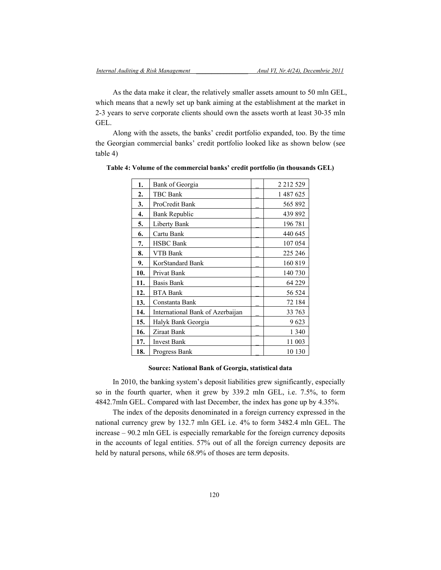As the data make it clear, the relatively smaller assets amount to 50 mln GEL, which means that a newly set up bank aiming at the establishment at the market in 2-3 years to serve corporate clients should own the assets worth at least 30-35 mln GEL.

Along with the assets, the banks' credit portfolio expanded, too. By the time the Georgian commercial banks' credit portfolio looked like as shown below (see table 4)

| 1.  | Bank of Georgia                  | 2 2 1 2 5 2 9 |
|-----|----------------------------------|---------------|
| 2.  | TBC Bank                         | 1487625       |
| 3.  | ProCredit Bank                   | 565 892       |
| 4.  | Bank Republic                    | 439 892       |
| 5.  | Liberty Bank                     | 196 781       |
| 6.  | Cartu Bank                       | 440 645       |
| 7.  | <b>HSBC Bank</b>                 | 107 054       |
| 8.  | VTB Bank                         | 225 246       |
| 9.  | KorStandard Bank                 | 160 819       |
| 10. | Privat Bank                      | 140 730       |
| 11. | <b>Basis Bank</b>                | 64 229        |
| 12. | <b>BTA Bank</b>                  | 56 524        |
| 13. | Constanta Bank                   | 72 184        |
| 14. | International Bank of Azerbaijan | 33 763        |
| 15. | Halyk Bank Georgia               | 9623          |
| 16. | Ziraat Bank                      | 1 340         |
| 17. | <b>Invest Bank</b>               | 11 003        |
| 18. | Progress Bank                    | 10 130        |

**Table 4: Volume of the commercial banks' credit portfolio (in thousands GEL)** 

#### **Source: National Bank of Georgia, statistical data**

In 2010, the banking system's deposit liabilities grew significantly, especially so in the fourth quarter, when it grew by 339.2 mln GEL, i.e. 7.5%, to form 4842.7mln GEL. Compared with last December, the index has gone up by 4.35%.

The index of the deposits denominated in a foreign currency expressed in the national currency grew by 132.7 mln GEL i.e. 4% to form 3482.4 mln GEL. The increase – 90.2 mln GEL is especially remarkable for the foreign currency deposits in the accounts of legal entities. 57% out of all the foreign currency deposits are held by natural persons, while 68.9% of thoses are term deposits.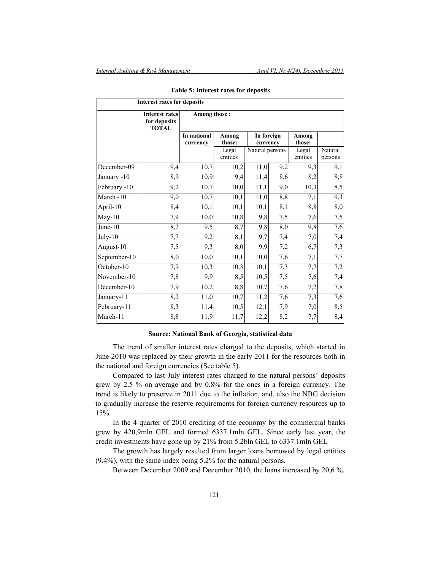| <b>Interest rates for deposits</b> |                                                       |                         |                   |                                           |     |                   |                    |
|------------------------------------|-------------------------------------------------------|-------------------------|-------------------|-------------------------------------------|-----|-------------------|--------------------|
|                                    | <b>Interest rates</b><br>for deposits<br><b>TOTAL</b> | Among those:            |                   |                                           |     |                   |                    |
|                                    |                                                       | In national<br>currency | Among<br>those:   | In foreign<br>currency<br>Natural persons |     | Among<br>those:   |                    |
|                                    |                                                       |                         | Legal<br>entities |                                           |     | Legal<br>entities | Natural<br>persons |
| December-09                        | 9,4                                                   | 10,7                    | 10,2              | 11,0                                      | 9,2 | 9,3               | 9,1                |
| January -10                        | 8,9                                                   | 10,9                    | 9,4               | 11,4                                      | 8,6 | 8,2               | 8,8                |
| February -10                       | 9,2                                                   | 10,7                    | 10,0              | 11,1                                      | 9,0 | 10,3              | 8,5                |
| March-10                           | 9,0                                                   | 10,7                    | 10,1              | 11,0                                      | 8,8 | 7,1               | 9,3                |
| April-10                           | 8,4                                                   | 10,1                    | 10,1              | 10,1                                      | 8,1 | 8,8               | 8,0                |
| $May-10$                           | 7,9                                                   | 10,0                    | 10,8              | 9,8                                       | 7,5 | 7,6               | 7,5                |
| June-10                            | 8,2                                                   | 9,5                     | 8,7               | 9,8                                       | 8,0 | 9,8               | 7,6                |
| July-10                            | 7,7                                                   | 9,2                     | 8,1               | 9,7                                       | 7,4 | 7,0               | 7,4                |
| August-10                          | 7,5                                                   | 9,3                     | 8,0               | 9,9                                       | 7,2 | 6,7               | 7,3                |
| September-10                       | 8,0                                                   | 10,0                    | 10,1              | 10,0                                      | 7,6 | 7,1               | 7,7                |
| October-10                         | 7,9                                                   | 10,3                    | 10,3              | 10,1                                      | 7,3 | 7,7               | 7,2                |
| November-10                        | 7,8                                                   | 9,9                     | 8,5               | 10,5                                      | 7,5 | 7,6               | 7,4                |
| December-10                        | 7,9                                                   | 10,2                    | 8,8               | 10,7                                      | 7,6 | 7,2               | 7,8                |
| January-11                         | 8,2                                                   | 11,0                    | 10,7              | 11,2                                      | 7,6 | 7,3               | 7,6                |
| February-11                        | 8,3                                                   | 11,4                    | 10,5              | 12,1                                      | 7,9 | 7,0               | 8,5                |
| March-11                           | 8,8                                                   | 11,9                    | 11,7              | 12,2                                      | 8,2 | 7,7               | 8,4                |

#### **Table 5: Interest rates for deposits**

#### **Source: National Bank of Georgia, statistical data**

The trend of smaller interest rates charged to the deposits, which started in June 2010 was replaced by their growth in the early 2011 for the resources both in the national and foreign currencies (See table 5).

Compared to last July interest rates charged to the natural persons' deposits grew by 2.5 % on average and by 0.8% for the ones in a foreign currency. The trend is likely to preserve in 2011 due to the inflation, and, also the NBG decision to gradually increase the reserve requirements for foreign currency resources up to 15%.

In the 4 quarter of 2010 crediting of the economy by the commercial banks grew by 420,9mln GEL and formed 6337.1mln GEL. Since early last year, the credit investments have gone up by 21% from 5.2bln GEL to 6337.1mln GEL

The growth has largely resulted from larger loans borrowed by legal entities (9.4%), with the same index being 5.2% for the natural persons.

Between December 2009 and December 2010, the loans increased by 20,6 %.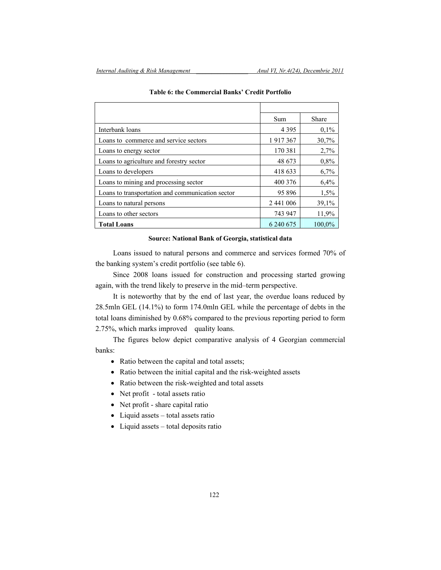|                                                  | Sum       | Share   |
|--------------------------------------------------|-----------|---------|
| Interbank loans                                  | 4 3 9 5   | $0.1\%$ |
| Loans to commerce and service sectors            | 1917367   | 30,7%   |
| Loans to energy sector                           | 170 381   | 2,7%    |
| Loans to agriculture and forestry sector         | 48 673    | $0.8\%$ |
| Loans to developers                              | 418 633   | 6,7%    |
| Loans to mining and processing sector            | 400 376   | 6,4%    |
| Loans to transportation and communication sector | 95 896    | 1,5%    |
| Loans to natural persons                         | 2 441 006 | 39,1%   |
| Loans to other sectors                           | 743 947   | 11,9%   |
| <b>Total Loans</b>                               | 6 240 675 | 100,0%  |

### **Table 6: the Commercial Banks' Credit Portfolio**

#### **Source: National Bank of Georgia, statistical data**

Loans issued to natural persons and commerce and services formed 70% of the banking system's credit portfolio (see table 6).

Since 2008 loans issued for construction and processing started growing again, with the trend likely to preserve in the mid–term perspective.

It is noteworthy that by the end of last year, the overdue loans reduced by 28.5mln GEL (14.1%) to form 174.0mln GEL while the percentage of debts in the total loans diminished by 0.68% compared to the previous reporting period to form 2.75%, which marks improved quality loans.

The figures below depict comparative analysis of 4 Georgian commercial banks:

- Ratio between the capital and total assets;
- Ratio between the initial capital and the risk-weighted assets
- Ratio between the risk-weighted and total assets
- Net profit total assets ratio
- Net profit share capital ratio
- Liquid assets total assets ratio
- Liquid assets total deposits ratio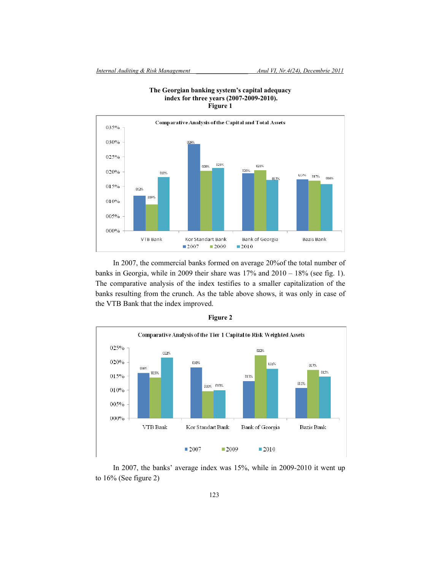

**The Georgian banking system's capital adequacy index for three years (2007-2009-2010). Figure 1** 

In 2007, the commercial banks formed on average 20%of the total number of banks in Georgia, while in 2009 their share was 17% and 2010 – 18% (see fig. 1). The comparative analysis of the index testifies to a smaller capitalization of the banks resulting from the crunch. As the table above shows, it was only in case of the VTB Bank that the index improved.



**Figure 2** 

In 2007, the banks' average index was 15%, while in 2009-2010 it went up to 16% (See figure 2)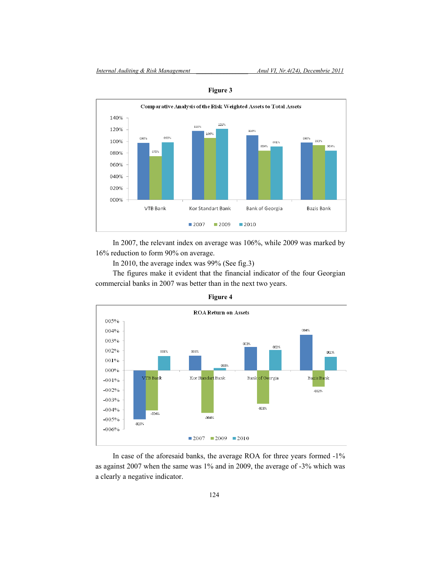

**Figure 3** 

In 2007, the relevant index on average was 106%, while 2009 was marked by 16% reduction to form 90% on average.

In 2010, the average index was 99% (See fig.3)

The figures make it evident that the financial indicator of the four Georgian commercial banks in 2007 was better than in the next two years.





In case of the aforesaid banks, the average ROA for three years formed -1% as against 2007 when the same was 1% and in 2009, the average of -3% which was a clearly a negative indicator.